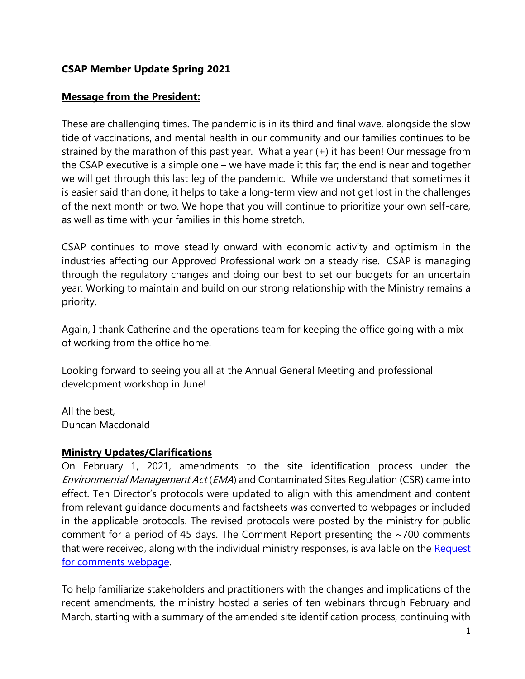# **CSAP Member Update Spring 2021**

#### **Message from the President:**

These are challenging times. The pandemic is in its third and final wave, alongside the slow tide of vaccinations, and mental health in our community and our families continues to be strained by the marathon of this past year. What a year (+) it has been! Our message from the CSAP executive is a simple one – we have made it this far; the end is near and together we will get through this last leg of the pandemic. While we understand that sometimes it is easier said than done, it helps to take a long-term view and not get lost in the challenges of the next month or two. We hope that you will continue to prioritize your own self-care, as well as time with your families in this home stretch.

CSAP continues to move steadily onward with economic activity and optimism in the industries affecting our Approved Professional work on a steady rise. CSAP is managing through the regulatory changes and doing our best to set our budgets for an uncertain year. Working to maintain and build on our strong relationship with the Ministry remains a priority.

Again, I thank Catherine and the operations team for keeping the office going with a mix of working from the office home.

Looking forward to seeing you all at the Annual General Meeting and professional development workshop in June!

All the best, Duncan Macdonald

#### **Ministry Updates/Clarifications**

On February 1, 2021, amendments to the site identification process under the Environmental Management Act (EMA) and Contaminated Sites Regulation (CSR) came into effect. Ten Director's protocols were updated to align with this amendment and content from relevant guidance documents and factsheets was converted to webpages or included in the applicable protocols. The revised protocols were posted by the ministry for public comment for a period of 45 days. The Comment Report presenting the ~700 comments that were received, along with the individual ministry responses, is available on the Request [for comments webpage.](https://www2.gov.bc.ca/gov/content?id=6D2D868F9C024113B1D471578F7690D3)

To help familiarize stakeholders and practitioners with the changes and implications of the recent amendments, the ministry hosted a series of ten webinars through February and March, starting with a summary of the amended site identification process, continuing with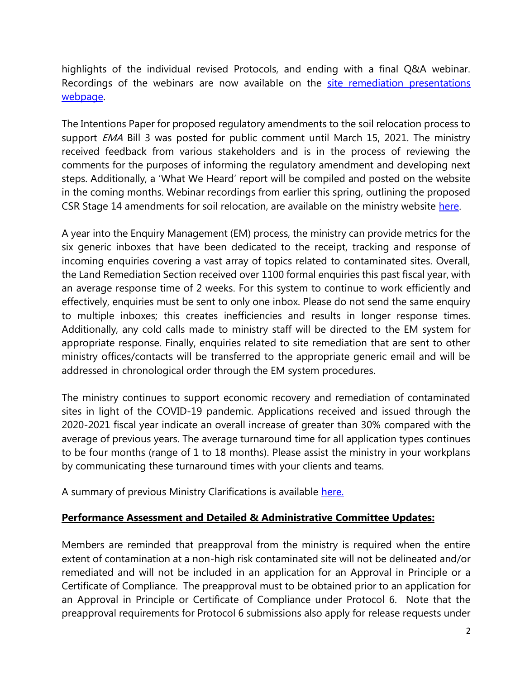highlights of the individual revised Protocols, and ending with a final Q&A webinar. Recordings of the webinars are now available on the site remediation presentations [webpage.](https://www2.gov.bc.ca/gov/content?id=3F23AF0D56EA4E0E8C02AEECFF96CC53)

The Intentions Paper for proposed regulatory amendments to the soil relocation process to support *EMA* Bill 3 was posted for public comment until March 15, 2021. The ministry received feedback from various stakeholders and is in the process of reviewing the comments for the purposes of informing the regulatory amendment and developing next steps. Additionally, a 'What We Heard' report will be compiled and posted on the website in the coming months. Webinar recordings from earlier this spring, outlining the proposed CSR Stage 14 amendments for soil relocation, are available on the ministry website [here.](https://www2.gov.bc.ca/gov/content?id=3F23AF0D56EA4E0E8C02AEECFF96CC53)

A year into the Enquiry Management (EM) process, the ministry can provide metrics for the six generic inboxes that have been dedicated to the receipt, tracking and response of incoming enquiries covering a vast array of topics related to contaminated sites. Overall, the Land Remediation Section received over 1100 formal enquiries this past fiscal year, with an average response time of 2 weeks. For this system to continue to work efficiently and effectively, enquiries must be sent to only one inbox. Please do not send the same enquiry to multiple inboxes; this creates inefficiencies and results in longer response times. Additionally, any cold calls made to ministry staff will be directed to the EM system for appropriate response. Finally, enquiries related to site remediation that are sent to other ministry offices/contacts will be transferred to the appropriate generic email and will be addressed in chronological order through the EM system procedures.

The ministry continues to support economic recovery and remediation of contaminated sites in light of the COVID-19 pandemic. Applications received and issued through the 2020-2021 fiscal year indicate an overall increase of greater than 30% compared with the average of previous years. The average turnaround time for all application types continues to be four months (range of 1 to 18 months). Please assist the ministry in your workplans by communicating these turnaround times with your clients and teams.

A summary of previous Ministry Clarifications is available [here.](https://csapsociety.bc.ca/wp-content/uploads/Ministry-Updates-Fall-2020-to-Summer-2012.pdf)

#### **Performance Assessment and Detailed & Administrative Committee Updates:**

Members are reminded that preapproval from the ministry is required when the entire extent of contamination at a non-high risk contaminated site will not be delineated and/or remediated and will not be included in an application for an Approval in Principle or a Certificate of Compliance. The preapproval must to be obtained prior to an application for an Approval in Principle or Certificate of Compliance under Protocol 6. Note that the preapproval requirements for Protocol 6 submissions also apply for release requests under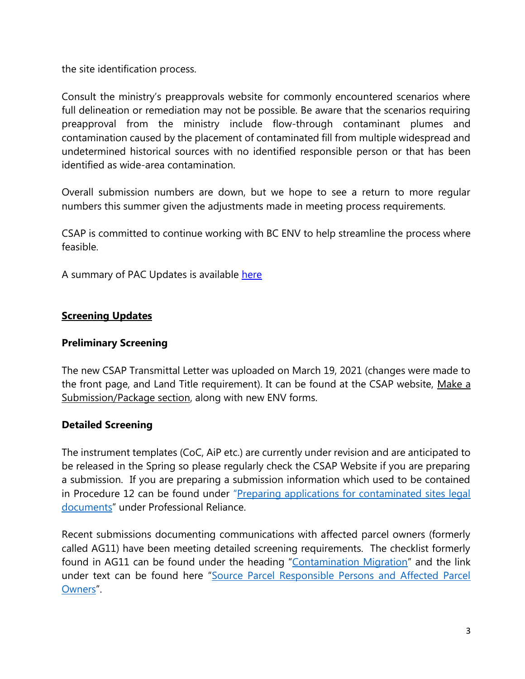the site identification process.

Consult the ministry's preapprovals website for commonly encountered scenarios where full delineation or remediation may not be possible. Be aware that the scenarios requiring preapproval from the ministry include flow-through contaminant plumes and contamination caused by the placement of contaminated fill from multiple widespread and undetermined historical sources with no identified responsible person or that has been identified as wide-area contamination.

Overall submission numbers are down, but we hope to see a return to more regular numbers this summer given the adjustments made in meeting process requirements.

CSAP is committed to continue working with BC ENV to help streamline the process where feasible.

A summary of PAC Updates is available [here](https://csapsociety.bc.ca/wp-content/uploads/Performance-Assessment-Committee-Updates-Winter-2021.pdf)

#### **Screening Updates**

#### **Preliminary Screening**

The new CSAP Transmittal Letter was uploaded on March 19, 2021 (changes were made to the front page, and Land Title requirement). It can be found at the CSAP website, [Make a](https://csapsociety.bc.ca/submission-package-forms/)  [Submission/Package section,](https://csapsociety.bc.ca/submission-package-forms/) along with new ENV forms.

#### **Detailed Screening**

The instrument templates (CoC, AiP etc.) are currently under revision and are anticipated to be released in the Spring so please regularly check the CSAP Website if you are preparing a submission. If you are preparing a submission information which used to be contained in Procedure 12 can be found under "Preparing applications for contaminated sites legal [documents](https://www2.gov.bc.ca/gov/content?id=EF40AC4E5C93409C9832472101B7153A)" under Professional Reliance.

Recent submissions documenting communications with affected parcel owners (formerly called AG11) have been meeting detailed screening requirements. The checklist formerly found in AG11 can be found under the heading "[Contamination Migration](https://www2.gov.bc.ca/gov/content?id=FC5FC6407168478D9CBB56C00427D5B7)" and the link under text can be found here "[Source Parcel Responsible Persons and Affected Parcel](https://www2.gov.bc.ca/assets/gov/environment/air-land-water/site-remediation/docs/forms/migration_checklist.pdf)  [Owners](https://www2.gov.bc.ca/assets/gov/environment/air-land-water/site-remediation/docs/forms/migration_checklist.pdf)".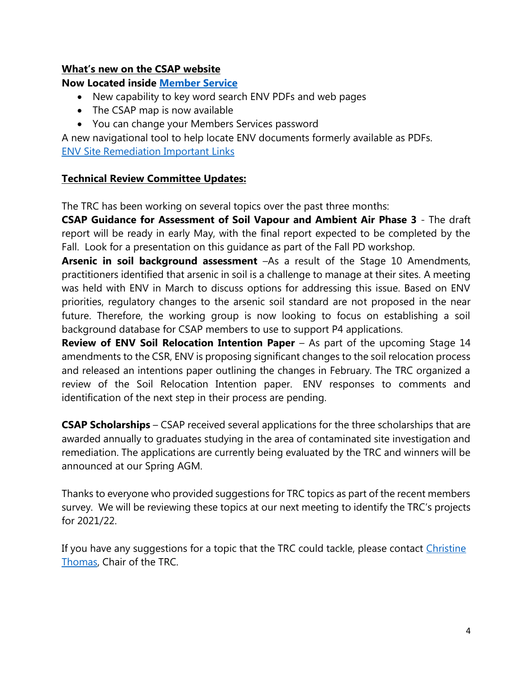#### **What's new on the CSAP website**

#### **Now Located inside [Member Service](https://csapsubmissions.com/)**

- New capability to key word search ENV PDFs and web pages
- The CSAP map is now available
- You can change your Members Services password

A new navigational tool to help locate ENV documents formerly available as PDFs. [ENV Site Remediation Important Links](https://csapsociety.bc.ca/wp-content/uploads/ENV-Links.docx)

#### **Technical Review Committee Updates:**

The TRC has been working on several topics over the past three months:

**CSAP Guidance for Assessment of Soil Vapour and Ambient Air Phase 3** - The draft report will be ready in early May, with the final report expected to be completed by the Fall. Look for a presentation on this guidance as part of the Fall PD workshop.

**Arsenic in soil background assessment** –As a result of the Stage 10 Amendments, practitioners identified that arsenic in soil is a challenge to manage at their sites. A meeting was held with ENV in March to discuss options for addressing this issue. Based on ENV priorities, regulatory changes to the arsenic soil standard are not proposed in the near future. Therefore, the working group is now looking to focus on establishing a soil background database for CSAP members to use to support P4 applications.

**Review of ENV Soil Relocation Intention Paper** – As part of the upcoming Stage 14 amendments to the CSR, ENV is proposing significant changes to the soil relocation process and released an intentions paper outlining the changes in February. The TRC organized a review of the Soil Relocation Intention paper. ENV responses to comments and identification of the next step in their process are pending.

**CSAP Scholarships** – CSAP received several applications for the three scholarships that are awarded annually to graduates studying in the area of contaminated site investigation and remediation. The applications are currently being evaluated by the TRC and winners will be announced at our Spring AGM.

Thanks to everyone who provided suggestions for TRC topics as part of the recent members survey. We will be reviewing these topics at our next meeting to identify the TRC's projects for 2021/22.

If you have any suggestions for a topic that the TRC could tackle, please contact Christine [Thomas,](mailto:christine_thomas@golder.com) Chair of the TRC.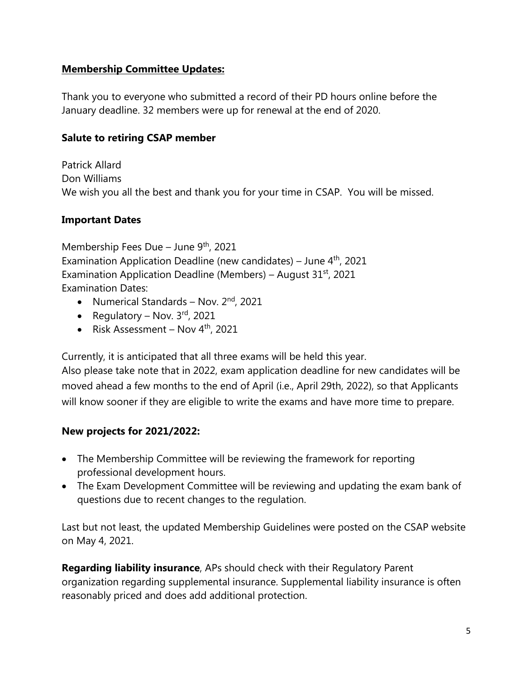## **Membership Committee Updates:**

Thank you to everyone who submitted a record of their PD hours online before the January deadline. 32 members were up for renewal at the end of 2020.

## **Salute to retiring CSAP member**

Patrick Allard Don Williams We wish you all the best and thank you for your time in CSAP. You will be missed.

## **Important Dates**

Membership Fees Due – June  $9<sup>th</sup>$ , 2021 Examination Application Deadline (new candidates) – June  $4<sup>th</sup>$ , 2021 Examination Application Deadline (Members) – August  $31<sup>st</sup>$ , 2021 Examination Dates:

- Numerical Standards Nov. 2<sup>nd</sup>, 2021
- Regulatory Nov.  $3<sup>rd</sup>$ , 2021
- Risk Assessment Nov 4<sup>th</sup>, 2021

Currently, it is anticipated that all three exams will be held this year.

Also please take note that in 2022, exam application deadline for new candidates will be moved ahead a few months to the end of April (i.e., April 29th, 2022), so that Applicants will know sooner if they are eligible to write the exams and have more time to prepare.

#### **New projects for 2021/2022:**

- The Membership Committee will be reviewing the framework for reporting professional development hours.
- The Exam Development Committee will be reviewing and updating the exam bank of questions due to recent changes to the regulation.

Last but not least, the updated Membership Guidelines were posted on the CSAP website on May 4, 2021.

**Regarding liability insurance**, APs should check with their Regulatory Parent organization regarding supplemental insurance. Supplemental liability insurance is often reasonably priced and does add additional protection.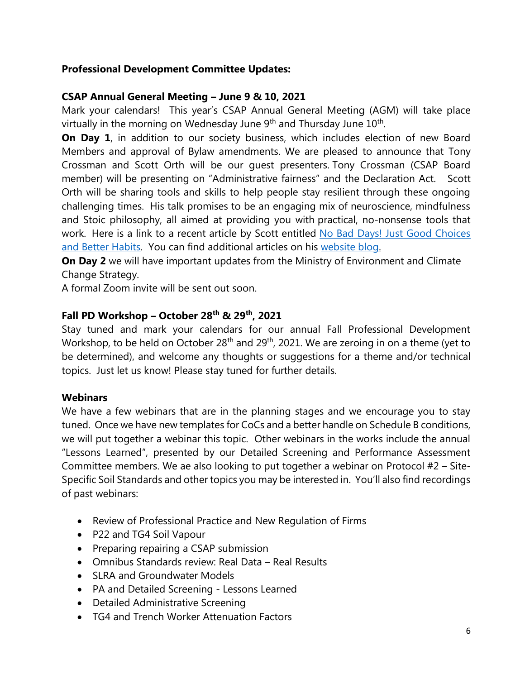#### **Professional Development Committee Updates:**

## **CSAP Annual General Meeting – June 9 & 10, 2021**

Mark your calendars! This year's CSAP Annual General Meeting (AGM) will take place virtually in the morning on Wednesday June  $9<sup>th</sup>$  and Thursday June  $10<sup>th</sup>$ .

**On Day 1**, in addition to our society business, which includes election of new Board Members and approval of Bylaw amendments. We are pleased to announce that Tony Crossman and Scott Orth will be our guest presenters. Tony Crossman (CSAP Board member) will be presenting on "Administrative fairness" and the Declaration Act. Scott Orth will be sharing tools and skills to help people stay resilient through these ongoing challenging times. His talk promises to be an engaging mix of neuroscience, mindfulness and Stoic philosophy, all aimed at providing you with practical, no-nonsense tools that work. Here is a link to a recent article by Scott entitled No Bad Days! Just Good Choices [and Better Habits.](https://www.mindfulwisdom.ca/blog/2021/1/11/no-bad-days-just-good-choices-and-better-habits) You can find additional articles on his [website blog.](https://www.mindfulwisdom.ca/blog)

**On Day 2** we will have important updates from the Ministry of Environment and Climate Change Strategy.

A formal Zoom invite will be sent out soon.

#### **Fall PD Workshop – October 28th & 29th, 2021**

Stay tuned and mark your calendars for our annual Fall Professional Development Workshop, to be held on October 28<sup>th</sup> and 29<sup>th</sup>, 2021. We are zeroing in on a theme (yet to be determined), and welcome any thoughts or suggestions for a theme and/or technical topics. Just let us know! Please stay tuned for further details.

#### **Webinars**

We have a few webinars that are in the planning stages and we encourage you to stay tuned. Once we have new templates for CoCs and a better handle on Schedule B conditions, we will put together a webinar this topic. Other webinars in the works include the annual "Lessons Learned", presented by our Detailed Screening and Performance Assessment Committee members. We ae also looking to put together a webinar on Protocol #2 – Site-Specific Soil Standards and other topics you may be interested in. You'll also find recordings of past webinars:

- Review of Professional Practice and New Regulation of Firms
- P22 and TG4 Soil Vapour
- Preparing repairing a CSAP submission
- Omnibus Standards review: Real Data Real Results
- SLRA and Groundwater Models
- PA and Detailed Screening Lessons Learned
- Detailed Administrative Screening
- TG4 and Trench Worker Attenuation Factors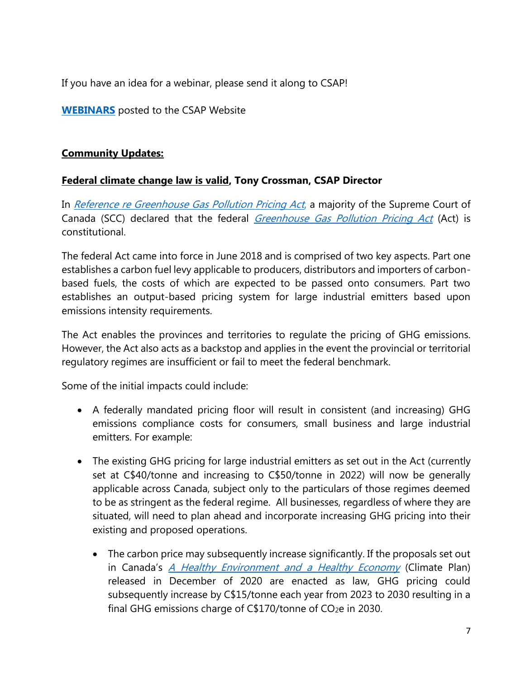If you have an idea for a webinar, please send it along to CSAP!

**[WEBINARS](https://csapsociety.bc.ca/members/pd-webinars/)** posted to the CSAP Website

## **Community Updates:**

## **Federal climate change law is valid, Tony Crossman, CSAP Director**

In [Reference re Greenhouse Gas Pollution Pricing Act](https://can01.safelinks.protection.outlook.com/?url=https%3A%2F%2Fdecisions.scc-csc.ca%2Fscc-csc%2Fscc-csc%2Fen%2Fitem%2F18781%2Findex.do&data=04%7C01%7Ctony.crossman%40blakes.com%7C14803c11d88b492c01a908d8f467941b%7Cb2a43d8509bb449097b62ed27388cab2%7C0%7C0%7C637528072986748692%7CUnknown%7CTWFpbGZsb3d8eyJWIjoiMC4wLjAwMDAiLCJQIjoiV2luMzIiLCJBTiI6Ik1haWwiLCJXVCI6Mn0%3D%7C1000&sdata=Wy0Mpi18Uc4ymKeKrAHM7njjjigoPFApgRyFzK6HHZM%3D&reserved=0), a majority of the Supreme Court of Canada (SCC) declared that the federal *[Greenhouse Gas Pollution Pricing Act](https://can01.safelinks.protection.outlook.com/?url=https%3A%2F%2Flaws-lois.justice.gc.ca%2Feng%2Facts%2FG-11.55%2F&data=04%7C01%7Ctony.crossman%40blakes.com%7C14803c11d88b492c01a908d8f467941b%7Cb2a43d8509bb449097b62ed27388cab2%7C0%7C0%7C637528072986758684%7CUnknown%7CTWFpbGZsb3d8eyJWIjoiMC4wLjAwMDAiLCJQIjoiV2luMzIiLCJBTiI6Ik1haWwiLCJXVCI6Mn0%3D%7C1000&sdata=G4CJp2k7SKbRx96wiMPq2b5fiG87RGAL1rKFsoKVO5U%3D&reserved=0)* (Act) is constitutional.

The federal Act came into force in June 2018 and is comprised of two key aspects. Part one establishes a carbon fuel levy applicable to producers, distributors and importers of carbonbased fuels, the costs of which are expected to be passed onto consumers. Part two establishes an output-based pricing system for large industrial emitters based upon emissions intensity requirements.

The Act enables the provinces and territories to regulate the pricing of GHG emissions. However, the Act also acts as a backstop and applies in the event the provincial or territorial regulatory regimes are insufficient or fail to meet the federal benchmark.

Some of the initial impacts could include:

- A federally mandated pricing floor will result in consistent (and increasing) GHG emissions compliance costs for consumers, small business and large industrial emitters. For example:
- The existing GHG pricing for large industrial emitters as set out in the Act (currently set at C\$40/tonne and increasing to C\$50/tonne in 2022) will now be generally applicable across Canada, subject only to the particulars of those regimes deemed to be as stringent as the federal regime. All businesses, regardless of where they are situated, will need to plan ahead and incorporate increasing GHG pricing into their existing and proposed operations.
	- The carbon price may subsequently increase significantly. If the proposals set out in Canada's [A Healthy Environment and a Healthy Economy](https://can01.safelinks.protection.outlook.com/?url=https%3A%2F%2Fwww.canada.ca%2Fen%2Fservices%2Fenvironment%2Fweather%2Fclimatechange%2Fclimate-plan%2Fclimate-plan-overview%2Fhealthy-environment-healthy-economy.html&data=04%7C01%7Ctony.crossman%40blakes.com%7C14803c11d88b492c01a908d8f467941b%7Cb2a43d8509bb449097b62ed27388cab2%7C0%7C0%7C637528072986758684%7CUnknown%7CTWFpbGZsb3d8eyJWIjoiMC4wLjAwMDAiLCJQIjoiV2luMzIiLCJBTiI6Ik1haWwiLCJXVCI6Mn0%3D%7C1000&sdata=ooKiJ4%2F2oOdQxLlUCntAAX7xRhTmA%2FmVYhHbe%2FfgF2c%3D&reserved=0) (Climate Plan) released in December of 2020 are enacted as law, GHG pricing could subsequently increase by C\$15/tonne each year from 2023 to 2030 resulting in a final GHG emissions charge of  $C$170/tonne$  of  $CO<sub>2</sub>e$  in 2030.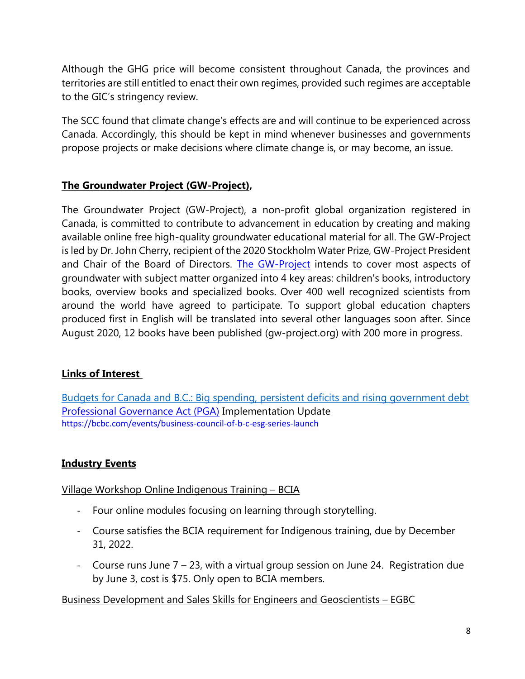Although the GHG price will become consistent throughout Canada, the provinces and territories are still entitled to enact their own regimes, provided such regimes are acceptable to the GIC's stringency review.

The SCC found that climate change's effects are and will continue to be experienced across Canada. Accordingly, this should be kept in mind whenever businesses and governments propose projects or make decisions where climate change is, or may become, an issue.

# **The Groundwater Project (GW-Project),**

The Groundwater Project (GW-Project), a non-profit global organization registered in Canada, is committed to contribute to advancement in education by creating and making available online free high-quality groundwater educational material for all. The GW-Project is led by Dr. John Cherry, recipient of the 2020 Stockholm Water Prize, GW-Project President and Chair of the Board of Directors. [The GW-Project](https://gw-project.org/) intends to cover most aspects of groundwater with subject matter organized into 4 key areas: children's books, introductory books, overview books and specialized books. Over 400 well recognized scientists from around the world have agreed to participate. To support global education chapters produced first in English will be translated into several other languages soon after. Since August 2020, 12 books have been published (gw-project.org) with 200 more in progress.

# **Links of Interest**

[Budgets for Canada and B.C.: Big spending, persistent deficits and rising government debt](https://bcbc.com/reports-and-research/budgets-for-canada-and-bc-big-spending-persistent-deficits-and-rising-government-debt) [Professional Governance Act \(PGA\)](https://csapsociety.bc.ca/wp-content/uploads/PGA-general-implementation-April13-2021.pdf) Implementation Update <https://bcbc.com/events/business-council-of-b-c-esg-series-launch>

# **Industry Events**

Village Workshop Online Indigenous Training – BCIA

- Four online modules focusing on learning through storytelling.
- Course satisfies the BCIA requirement for Indigenous training, due by December 31, 2022.
- Course runs June 7 23, with a virtual group session on June 24. Registration due by June 3, cost is \$75. Only open to BCIA members.

# Business Development and Sales Skills for Engineers and Geoscientists – EGBC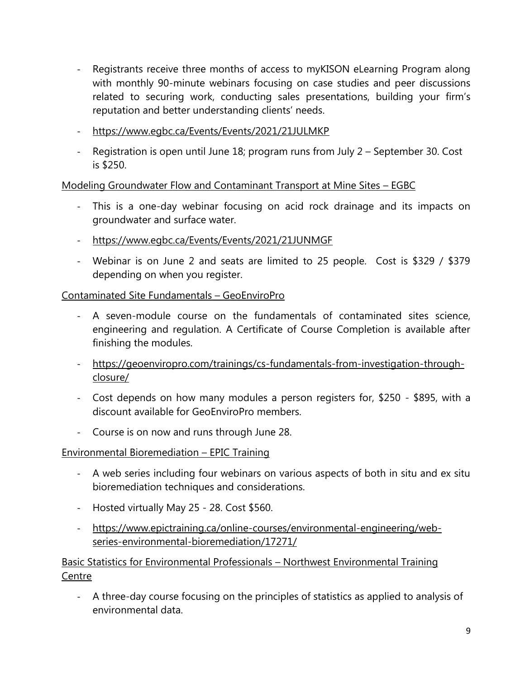- Registrants receive three months of access to myKISON eLearning Program along with monthly 90-minute webinars focusing on case studies and peer discussions related to securing work, conducting sales presentations, building your firm's reputation and better understanding clients' needs.
- <https://www.egbc.ca/Events/Events/2021/21JULMKP>
- Registration is open until June 18; program runs from July 2 September 30. Cost is \$250.

Modeling Groundwater Flow and Contaminant Transport at Mine Sites – EGBC

- This is a one-day webinar focusing on acid rock drainage and its impacts on groundwater and surface water.
- <https://www.egbc.ca/Events/Events/2021/21JUNMGF>
- Webinar is on June 2 and seats are limited to 25 people. Cost is \$329 / \$379 depending on when you register.

# Contaminated Site Fundamentals – GeoEnviroPro

- A seven-module course on the fundamentals of contaminated sites science, engineering and regulation. A Certificate of Course Completion is available after finishing the modules.
- [https://geoenviropro.com/trainings/cs-fundamentals-from-investigation-through](https://geoenviropro.com/trainings/cs-fundamentals-from-investigation-through-closure/)[closure/](https://geoenviropro.com/trainings/cs-fundamentals-from-investigation-through-closure/)
- Cost depends on how many modules a person registers for, \$250 \$895, with a discount available for GeoEnviroPro members.
- Course is on now and runs through June 28.

# Environmental Bioremediation – EPIC Training

- A web series including four webinars on various aspects of both in situ and ex situ bioremediation techniques and considerations.
- Hosted virtually May 25 28. Cost \$560.
- [https://www.epictraining.ca/online-courses/environmental-engineering/web](https://www.epictraining.ca/online-courses/environmental-engineering/web-series-environmental-bioremediation/17271/)[series-environmental-bioremediation/17271/](https://www.epictraining.ca/online-courses/environmental-engineering/web-series-environmental-bioremediation/17271/)

Basic Statistics for Environmental Professionals – Northwest Environmental Training **Centre** 

- A three-day course focusing on the principles of statistics as applied to analysis of environmental data.